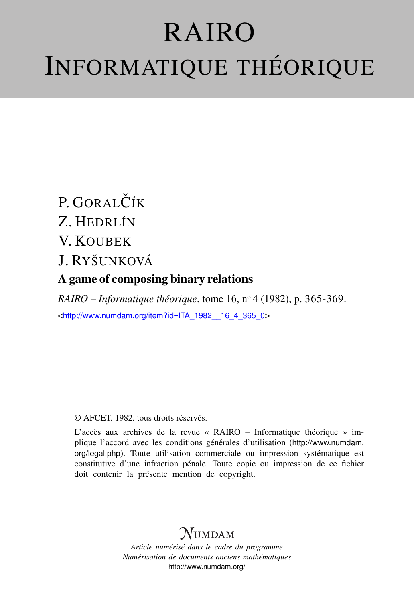# RAIRO INFORMATIQUE THÉORIQUE

# $P$ . GORAL $\check{C}$ ÍK Z. HEDRLÍN V. KOUBEK

## J. RYŠUNKOVÁ

## A game of composing binary relations

*RAIRO – Informatique théorique*, tome 16, n<sup>o</sup> 4 (1982), p. 365-369. <[http://www.numdam.org/item?id=ITA\\_1982\\_\\_16\\_4\\_365\\_0](http://www.numdam.org/item?id=ITA_1982__16_4_365_0)>

## © AFCET, 1982, tous droits réservés.

L'accès aux archives de la revue « RAIRO – Informatique théorique » implique l'accord avec les conditions générales d'utilisation ([http://www.numdam.](http://www.numdam.org/legal.php) [org/legal.php](http://www.numdam.org/legal.php)). Toute utilisation commerciale ou impression systématique est constitutive d'une infraction pénale. Toute copie ou impression de ce fichier doit contenir la présente mention de copyright.

# **NUMDAM**

*Article numérisé dans le cadre du programme Numérisation de documents anciens mathématiques* <http://www.numdam.org/>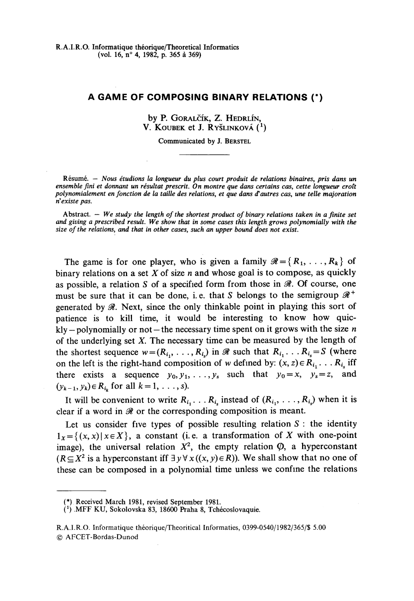## **A GAME OF COMPOSING BINARY RELATIONS (\*)**

by P. GORALČÍK, Z. HEDRLÍN, V. KOUBEK et J. RYŠLINKOVÁ (<sup>1</sup>)

Communicated by J. BERSTEL

**Resumé. —** *Nous étudions la longueur du plus court produit de relations binaires, pris dans un ensemble fini et donnant un résultat prescrit. On montre que dans certains cas, cette longueur croît polynomialement en fonction de la taille des relations, et que dans d'autres cas, une telle majoration riexiste pas.*

**Abstract. —** *We study the length of the shortest product of binary relations taken in a finite set and giving a prescribed result. We show that in some cases this length grows polynomially with the size of the relations, and that in other cases, such an upper bound does not exist.*

The game is for one player, who is given a family  $\mathcal{R} = \{R_1, \ldots, R_k\}$  of binary relations on a set *X* of size *n* and whose goal is to compose, as quickly as possible, a relation S of a specified form from those in *&.* Of course, one must be sure that it can be done, i.e. that *S* belongs to the semigroup  $\mathcal{R}^+$ generated by *M.* Next, since the only thinkable point in playing this sort of patience is to kill time, it would be interesting to know how quickly - polynomially or not —the necessary time spent on it grows with the size *n* of the underlying set *X.* The necessary time can be measured by the length of the shortest sequence  $w = (R_{i_1}, \ldots, R_{i_s})$  in  $\mathscr R$  such that  $R_{i_1} \ldots R_{i_s} = S$  (where on the left is the right-hand composition of w defined by:  $(x, z) \in R_{i_1}$ . . .  $R_{i_s}$  iff there exists a sequence  $y_0, y_1, \ldots, y_s$  such that  $y_0 = x, y_s = z$ , and  $(y_{k-1}, y_k) \in R_{i_k}$  for all  $k = 1, \ldots, s$ .

It will be convenient to write  $R_{i_1}$ . . .  $R_{i_s}$  instead of  $(R_{i_1}, \ldots, R_{i_s})$  when it is clear if a word in *0t* or the corresponding composition is meant.

Let us consider five types of possible resulting relation *S* : the identity  $1_x = \{(x, x) | x \in X\}$ , a constant (i.e. a transformation of X with one-point image), the universal relation  $X^2$ , the empty relation  $\varphi$ , a hyperconstant  $(R \subseteq X^2$  is a hyperconstant iff  $\exists y \forall x ((x, y) \in R)$ ). We shall show that no one of these can be composed in a polynomial time unless we confine the relations

<sup>(\*).</sup> Received Mardi 1981, revised September 1981.

*C) MFF* KU, Sokolovska 83, 18600 Praha 8, Tchécoslovaquie.

R.A.I.R.O. Informatique théorique/Theoritical Informaties, 0399-0540/1982/365/S 5.00 © AFCET-Bordas-Dunod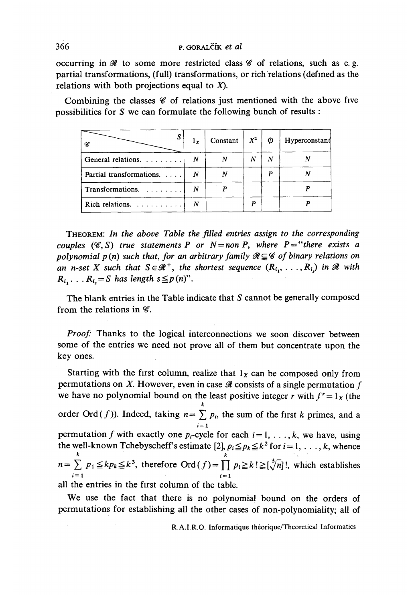### 366 p. GORALCÎK *et al*

occurring in  $\mathcal R$  to some more restricted class  $\mathcal C$  of relations, such as e.g. partial transformations, **(full)** transformations, or rich relations (defined as the relations with both projections equal to *X).*

Combining the classes *C* of relations just mentioned with the above five possibilities for *S* we can formulate the following bunch of results :

| 8                                | $1_{x}$ | Constant | $X^2$ | Ø | Hyperconstant |
|----------------------------------|---------|----------|-------|---|---------------|
| General relations. $\dots \dots$ | N       |          | N     | N |               |
| Partial transformations.         | N       |          |       | p |               |
| Transformations.                 | N       |          |       |   |               |
|                                  | N       |          |       |   |               |

THEOREM: *In the above Table the filled entries assign to the corresponding couples*  $(\mathscr{C}, S)$  *true statements P or N* = non *P, where P* = "*there exists a polynomial p(n) such that, for an arbitrary family*  $\mathcal{R} \subseteq \mathcal{C}$  *of binary relations on an n-set X such that*  $S \in \mathcal{R}^+$ , the shortest sequence  $(R_{i_1}, \ldots, R_{i_s})$  in  $\mathcal{R}$  with  $R_{i_1} \ldots R_{i_s} = S$  has length  $s \leq p(n)$ ".

The blank entries in the Table indicate that  $S$  cannot be generally composed from the relations in  $\mathscr{C}$ .

*Proof:* Thanks to the logical interconnections we soon discover between some of the entries we need not prove all of them but concentrate upon the key ones.

Starting with the first column, realize that  $1<sub>x</sub>$  can be composed only from permutations on  $X$ . However, even in case  $\mathcal X$  consists of a single permutation  $f$ we have no polynomial bound on the least positive integer *r* with  $f' = 1<sub>x</sub>$  (the *k* order Ord(*J*)). Indeed, taking  $n = \sum p_i$ , the sum of the first *k* primes, and a permutation f with exactly one  $p_i$ -cycle for each  $i = 1, \ldots, k$ , we have, using permutation *f* with exactly one  $p_i$ -cycle for each  $i=1,\ldots, \kappa$ , we have, using the wen-known 1 chebyschent sesumate  $\lfloor 2 \rfloor$ ,  $p_i \leq p_k \leq k^2$  for  $i = 1, ..., k$ , whence<br>  $n = \sum_{k} p_1 \leq k p_k \leq k^3$ , therefore Ord  $(f) = \prod_{k} p_i \geq k! \geq [\sqrt[3]{n}]!$ , which establishes all the entries in the first column of the table.

We use the fact that there is no polynomial bound on the orders of permutations for establishing all the other cases of non-polynomiality; ail of

R.A.I.R.O. Informatique théorique/Theoretical Informaties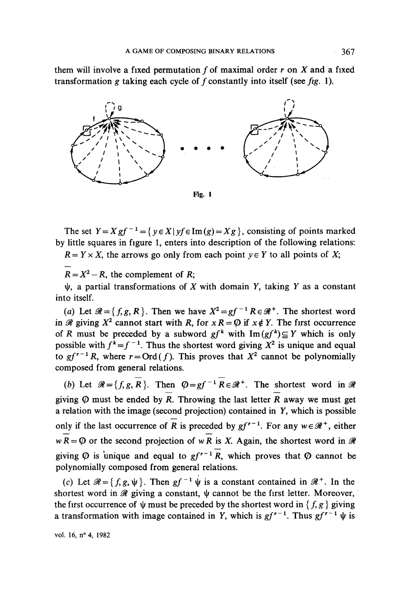them will involve a fixed permutation ƒ of maximal order *r* on *X* and a fixed transformation *g* taking each cycle of ƒ constantly into itself (see *fig.* 1).



The set  $Y = Xgf^{-1} = \{y \in X | yf \in \text{Im}(g) = Xg\}$ , consisting of points marked by little squares in figure 1, enters into description of the following relations:

 $R = Y \times X$ , the arrows go only from each point  $y \in Y$  to all points of X;

 $R = X^2 - R$ , the complement of *R*;

 $\psi$ , a partial transformations of X with domain Y, taking Y as a constant into itself.

(a) Let  $\mathcal{R} = \{f, g, R\}$ . Then we have  $X^2 = gf^{-1}R \in \mathcal{R}^+$ . The shortest word in  $\mathscr R$  giving  $X^2$  cannot start with *R*, for  $x R = \varphi$  if  $x \notin Y$ . The first occurrence of *R* must be preceded by a subword  $gf^k$  with  $\text{Im}(gf^k) \subseteq Y$  which is only possible with  $f^k = f^{-1}$ . Thus the shortest word giving  $X^2$  is unique and equal to  $gf^{r-1}R$ , where  $r = \text{Ord}(f)$ . This proves that  $X^2$  cannot be polynomially composed from gênerai relations.

*(b)* Let  $\mathcal{R} = \{f, g, R\}$ . Then  $\varphi = gf^{-1}R \in \mathcal{R}^+$ . The shortest word in  $\mathcal{R}$ giving  $\varphi$  must be ended by R. Throwing the last letter R away we must get a relation with the image (second projection) contained in Y, which is possible only if the last occurrence of  $\overline{R}$  is preceded by  $gf^{r-1}$ . For any  $w \in \mathcal{R}^+$ , either  $wR = \emptyset$  or the second projection of wR is X. Again, the shortest word in  $\mathcal{R}$ giving  $\varphi$  is unique and equal to  $gf^{r-1}R$ , which proves that  $\varphi$  cannot be polynomially composed from general relations.

(c) Let  $\mathscr{R} = \{f, g, \psi\}$ . Then  $gf^{-1} \psi$  is a constant contained in  $\mathscr{R}^+$ . In the shortest word in  $\mathcal R$  giving a constant,  $\psi$  cannot be the first letter. Moreover, the first occurrence of  $\psi$  must be preceded by the shortest word in  $\{ f, g \}$  giving a transformation with image contained in Y, which is  $gf^{r-1}$ . Thus  $gf^{r-1} \psi$  is

**vol. 16, n°4, 1982**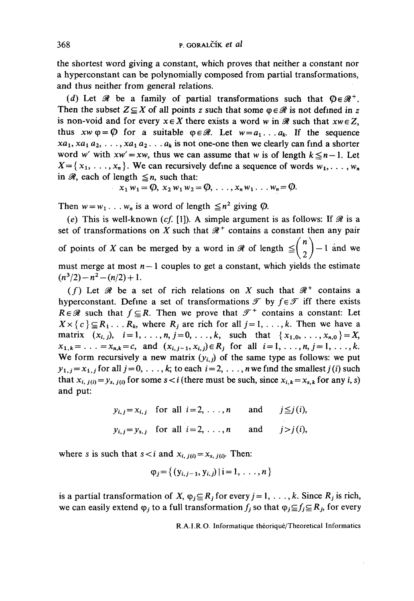the shortest word giving a constant, which proves that neither a constant nor a hyperconstant can be polynomially composed from partial transformations, and thus neither from general relations.

(d) Let  $\mathcal{R}$  be a family of partial transformations such that  $\mathbb{O} \in \mathcal{R}^+$ . Then the subset  $Z \subseteq X$  of all points z such that some  $\varphi \in \mathcal{R}$  is not defined in z is non-void and for every  $x \in X$  there exists a word w in  $\mathcal{R}$  such that  $xw \in Z$ . thus  $xw \varphi = \varphi$  for a suitable  $\varphi \in \mathcal{R}$ . Let  $w = a_1 \dots a_k$ . If the sequence  $xa_1, xa_1 a_2, \ldots, xa_1 a_2 \ldots a_k$  is not one-one then we clearly can find a shorter word w' with  $xw' = xw$ , thus we can assume that w is of length  $k \le n-1$ . Let  $X = \{x_1, \ldots, x_n\}$ . We can recursively define a sequence of words  $w_1, \ldots, w_n$ in  $\mathcal{R}$ , each of length  $\leq n$ , such that:

$$
x_1 w_1 = \emptyset
$$
,  $x_2 w_1 w_2 = \emptyset$ , ...,  $x_n w_1$ ...  $w_n = \emptyset$ .

Then  $w = w_1 \dots w_n$  is a word of length  $\leq n^2$  giving  $\varphi$ .

(e) This is well-known (cf. [1]). A simple argument is as follows: If  $\mathcal R$  is a set of transformations on X such that  $\mathcal{R}^+$  contains a constant then any pair of points of X can be merged by a word in  $\mathcal R$  of length  $\leq \binom{n}{2} - 1$  and we must merge at most  $n-1$  couples to get a constant, which yields the estimate  $(n^3/2)-n^2-(n/2)+1$ .

(f) Let  $\mathcal R$  be a set of rich relations on X such that  $\mathcal R^+$  contains a hyperconstant. Define a set of transformations  $\mathcal T$  by  $f \in \mathcal T$  iff there exists  $R \in \mathcal{R}$  such that  $f \subseteq R$ . Then we prove that  $\mathcal{T}^+$  contains a constant: Let  $X \times \{c\} \subseteq R_1 \dots R_k$ , where  $R_j$  are rich for all  $j = 1, \dots, k$ . Then we have a matrix  $(x_{i,j}), i=1,\ldots,n, j=0,\ldots,k$ , such that  $\{x_{1,0},\ldots,x_{n,0}\} = X$ ,  $x_{1,k} = \ldots = x_{n,k} = c$ , and  $(x_{i,j-1}, x_{i,j}) \in R_j$  for all  $i = 1, \ldots, n, j = 1, \ldots, k$ . We form recursively a new matrix  $(y_{i,j})$  of the same type as follows: we put  $y_{1,j} = x_{1,j}$  for all  $j = 0, \ldots, k$ ; to each  $i = 2, \ldots, n$  we find the smallest  $j(i)$  such that  $x_{i, j(i)} = y_{s, j(i)}$  for some  $s < i$  (there must be such, since  $x_{i,k} = x_{s,k}$  for any i, s) and put:

$$
y_{i,j} = x_{i,j} \quad \text{for all } i = 2, \ldots, n \quad \text{and} \quad j \leq j(i),
$$
\n
$$
y_{i,j} = y_{s,j} \quad \text{for all } i = 2, \ldots, n \quad \text{and} \quad j > j(i),
$$

where s is such that  $s < i$  and  $x_{i, j(i)} = x_{s, j(i)}$ . Then:

$$
\varphi_j = \{ (y_{i,j-1}, y_{i,j}) | i = 1, ..., n \}
$$

is a partial transformation of X,  $\varphi_j \subseteq R_j$  for every  $j = 1, \ldots, k$ . Since  $R_j$  is rich, we can easily extend  $\varphi_j$  to a full transformation  $f_j$  so that  $\varphi_j \subseteq f_j \subseteq R_j$ , for every

R.A.I.R.O. Informatique théoriqué/Theoretical Informatics